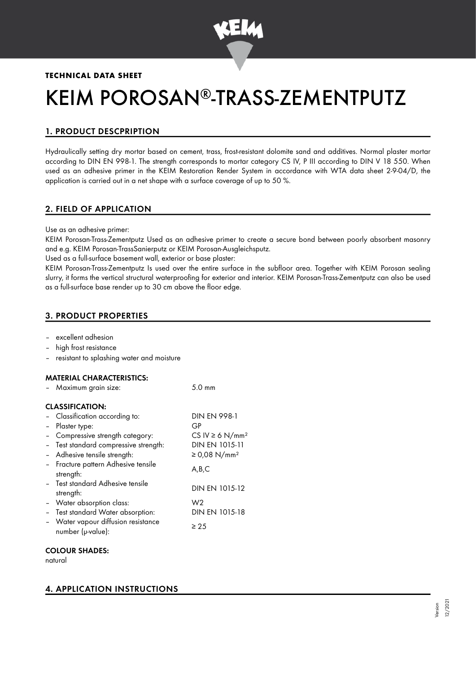

# **TECHNICAL DATA SHEET**

# KEIM POROSAN®-TRASS-ZEMENTPUTZ

# 1. PRODUCT DESCPRIPTION

Hydraulically setting dry mortar based on cement, trass, frost-resistant dolomite sand and additives. Normal plaster mortar according to DIN EN 998-1. The strength corresponds to mortar category CS IV, P III according to DIN V 18 550. When used as an adhesive primer in the KEIM Restoration Render System in accordance with WTA data sheet 2-9-04/D, the application is carried out in a net shape with a surface coverage of up to 50 %.

# 2. FIELD OF APPLICATION

Use as an adhesive primer:

KEIM Porosan-Trass-Zementputz Used as an adhesive primer to create a secure bond between poorly absorbent masonry and e.g. KEIM Porosan-TrassSanierputz or KEIM Porosan-Ausgleichsputz.

Used as a full-surface basement wall, exterior or base plaster:

KEIM Porosan-Trass-Zementputz Is used over the entire surface in the subfloor area. Together with KEIM Porosan sealing slurry, it forms the vertical structural waterproofing for exterior and interior. KEIM Porosan-Trass-Zementputz can also be used as a full-surface base render up to 30 cm above the floor edge.

# 3. PRODUCT PROPERTIES

- excellent adhesion
- high frost resistance
- resistant to splashing water and moisture

 $M$ aximum grain size:  $5.0 \text{ mm}$ 

#### MATERIAL CHARACTERISTICS:

|        | <b>IVIUAIIIIUIII</b> UIUIII SIZU.                        | ا ا ا ا ا ب ب                    |
|--------|----------------------------------------------------------|----------------------------------|
|        | <b>CLASSIFICATION:</b>                                   |                                  |
|        | - Classification according to:                           | <b>DIN EN 998-1</b>              |
|        | - Plaster type:                                          | GP                               |
|        | Compressive strength category:                           | CS IV $\geq 6$ N/mm <sup>2</sup> |
|        | - Test standard compressive strength:                    | DIN EN 1015-11                   |
|        | - Adhesive tensile strength:                             | ≥ 0,08 N/mm <sup>2</sup>         |
|        | - Fracture pattern Adhesive tensile<br>strength:         | A,B,C                            |
|        | - Test standard Adhesive tensile<br>strength:            | DIN EN 1015-12                   |
|        | - Water absorption class:                                | W <sub>2</sub>                   |
| $\sim$ | Test standard Water absorption:                          | DIN EN 1015-18                   |
|        | - Water vapour diffusion resistance<br>number (µ-value): | ≥ 25                             |
|        |                                                          |                                  |

#### COLOUR SHADES:

natural

# 4. APPLICATION INSTRUCTIONS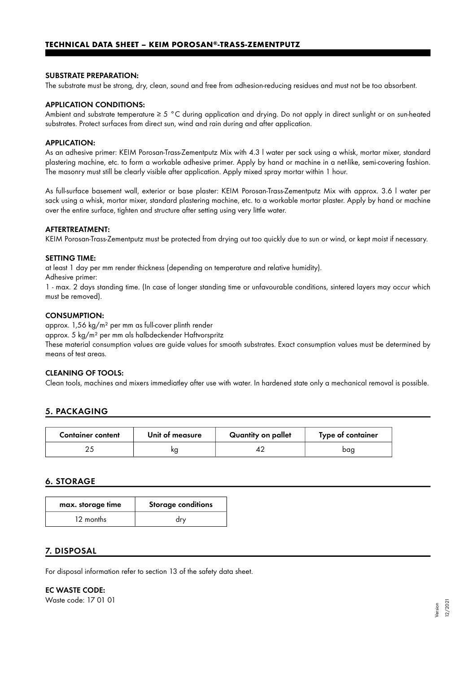#### **TECHNICAL DATA SHEET – KEIM POROSAN®-TRASS-ZEMENTPUTZ**

#### SUBSTRATE PREPARATION:

The substrate must be strong, dry, clean, sound and free from adhesion-reducing residues and must not be too absorbent.

#### APPLICATION CONDITIONS:

Ambient and substrate temperature ≥ 5 °C during application and drying. Do not apply in direct sunlight or on sun-heated substrates. Protect surfaces from direct sun, wind and rain during and after application.

#### APPLICATION:

As an adhesive primer: KEIM Porosan-Trass-Zementputz Mix with 4.3 l water per sack using a whisk, mortar mixer, standard plastering machine, etc. to form a workable adhesive primer. Apply by hand or machine in a net-like, semi-covering fashion. The masonry must still be clearly visible after application. Apply mixed spray mortar within 1 hour.

As full-surface basement wall, exterior or base plaster: KEIM Porosan-Trass-Zementputz Mix with approx. 3.6 l water per sack using a whisk, mortar mixer, standard plastering machine, etc. to a workable mortar plaster. Apply by hand or machine over the entire surface, tighten and structure after setting using very little water.

#### AFTERTREATMENT:

KEIM Porosan-Trass-Zementputz must be protected from drying out too quickly due to sun or wind, or kept moist if necessary.

#### SETTING TIME:

at least 1 day per mm render thickness (depending on temperature and relative humidity).

Adhesive primer:

1 - max. 2 days standing time. (In case of longer standing time or unfavourable conditions, sintered layers may occur which must be removed).

#### CONSUMPTION:

approx. 1,56 kg/m² per mm as full-cover plinth render

approx. 5 kg/m² per mm als halbdeckender Haftvorspritz

These material consumption values are guide values for smooth substrates. Exact consumption values must be determined by means of test areas.

#### CLEANING OF TOOLS:

Clean tools, machines and mixers immediatley after use with water. In hardened state only a mechanical removal is possible.

### 5. PACKAGING

| <b>Container content</b> | Unit of measure | Quantity on pallet | Type of container |
|--------------------------|-----------------|--------------------|-------------------|
|                          |                 |                    | bac               |

#### 6. STORAGE

| max. storage time | <b>Storage conditions</b> |
|-------------------|---------------------------|
| 12 months         | dry                       |

#### 7. DISPOSAL

For disposal information refer to section 13 of the safety data sheet.

EC WASTE CODE: Waste code: 17 01 01